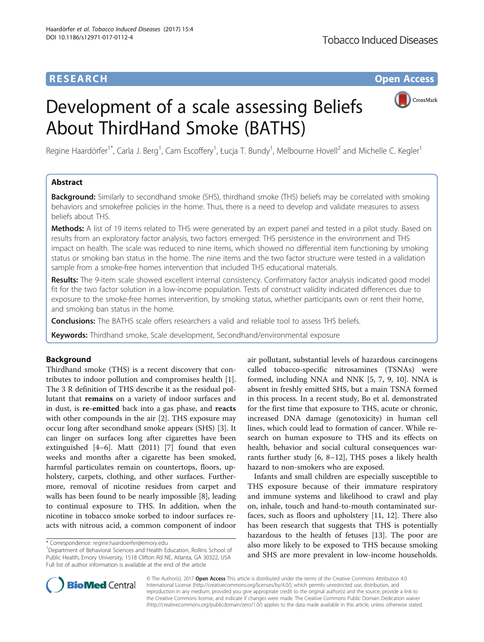# Development of a scale assessing Beliefs About ThirdHand Smoke (BATHS)



Regine Haardörfer<sup>1\*</sup>, Carla J. Berg<sup>1</sup>, Cam Escoffery<sup>1</sup>, Łucja T. Bundy<sup>1</sup>, Melbourne Hovell<sup>2</sup> and Michelle C. Kegler<sup>1</sup>

# Abstract

**Background:** Similarly to secondhand smoke (SHS), thirdhand smoke (THS) beliefs may be correlated with smoking behaviors and smokefree policies in the home. Thus, there is a need to develop and validate measures to assess beliefs about THS.

**Methods:** A list of 19 items related to THS were generated by an expert panel and tested in a pilot study. Based on results from an exploratory factor analysis, two factors emerged: THS persistence in the environment and THS impact on health. The scale was reduced to nine items, which showed no differential item functioning by smoking status or smoking ban status in the home. The nine items and the two factor structure were tested in a validation sample from a smoke-free homes intervention that included THS educational materials.

Results: The 9-item scale showed excellent internal consistency. Confirmatory factor analysis indicated good model fit for the two factor solution in a low-income population. Tests of construct validity indicated differences due to exposure to the smoke-free homes intervention, by smoking status, whether participants own or rent their home, and smoking ban status in the home.

**Conclusions:** The BATHS scale offers researchers a valid and reliable tool to assess THS beliefs.

Keywords: Thirdhand smoke, Scale development, Secondhand/environmental exposure

# Background

Thirdhand smoke (THS) is a recent discovery that contributes to indoor pollution and compromises health [\[1](#page-7-0)]. The 3 R definition of THS describe it as the residual pollutant that remains on a variety of indoor surfaces and in dust, is re-emitted back into a gas phase, and reacts with other compounds in the air [[2\]](#page-7-0). THS exposure may occur long after secondhand smoke appears (SHS) [[3\]](#page-7-0). It can linger on surfaces long after cigarettes have been extinguished [[4](#page-7-0)–[6](#page-7-0)]. Matt (2011) [[7\]](#page-7-0) found that even weeks and months after a cigarette has been smoked, harmful particulates remain on countertops, floors, upholstery, carpets, clothing, and other surfaces. Furthermore, removal of nicotine residues from carpet and walls has been found to be nearly impossible [[8\]](#page-7-0), leading to continual exposure to THS. In addition, when the nicotine in tobacco smoke sorbed to indoor surfaces reacts with nitrous acid, a common component of indoor

air pollutant, substantial levels of hazardous carcinogens called tobacco-specific nitrosamines (TSNAs) were formed, including NNA and NNK [\[5, 7, 9, 10](#page-7-0)]. NNA is absent in freshly emitted SHS, but a main TSNA formed in this process. In a recent study, Bo et al. demonstrated for the first time that exposure to THS, acute or chronic, increased DNA damage (genotoxicity) in human cell lines, which could lead to formation of cancer. While research on human exposure to THS and its effects on health, behavior and social cultural consequences warrants further study [\[6](#page-7-0), [8](#page-7-0)–[12](#page-7-0)], THS poses a likely health hazard to non-smokers who are exposed.

Infants and small children are especially susceptible to THS exposure because of their immature respiratory and immune systems and likelihood to crawl and play on, inhale, touch and hand-to-mouth contaminated surfaces, such as floors and upholstery [\[11](#page-7-0), [12\]](#page-7-0). There also has been research that suggests that THS is potentially hazardous to the health of fetuses [[13\]](#page-7-0). The poor are also more likely to be exposed to THS because smoking and SHS are more prevalent in low-income households.



© The Author(s). 2017 **Open Access** This article is distributed under the terms of the Creative Commons Attribution 4.0 International License [\(http://creativecommons.org/licenses/by/4.0/](http://creativecommons.org/licenses/by/4.0/)), which permits unrestricted use, distribution, and reproduction in any medium, provided you give appropriate credit to the original author(s) and the source, provide a link to the Creative Commons license, and indicate if changes were made. The Creative Commons Public Domain Dedication waiver [\(http://creativecommons.org/publicdomain/zero/1.0/](http://creativecommons.org/publicdomain/zero/1.0/)) applies to the data made available in this article, unless otherwise stated.

<sup>\*</sup> Correspondence: [regine.haardoerfer@emory.edu](mailto:regine.haardoerfer@emory.edu) <sup>1</sup>

<sup>&</sup>lt;sup>1</sup>Department of Behavioral Sciences and Health Education, Rollins School of Public Health, Emory University, 1518 Clifton Rd NE, Atlanta, GA 30322, USA Full list of author information is available at the end of the article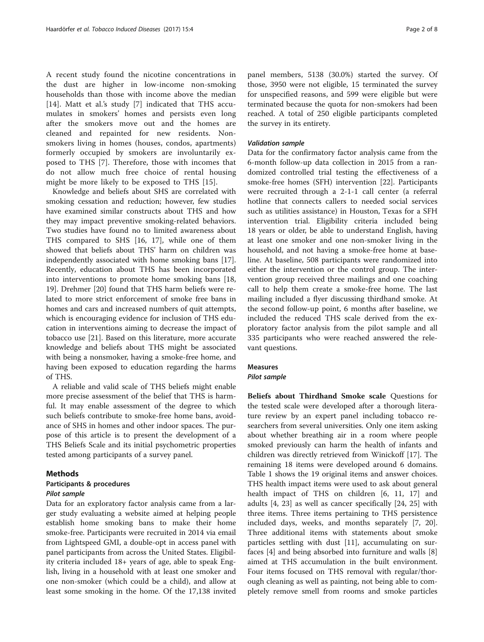A recent study found the nicotine concentrations in the dust are higher in low-income non-smoking households than those with income above the median [[14\]](#page-7-0). Matt et al.'s study [\[7](#page-7-0)] indicated that THS accumulates in smokers' homes and persists even long after the smokers move out and the homes are cleaned and repainted for new residents. Nonsmokers living in homes (houses, condos, apartments) formerly occupied by smokers are involuntarily exposed to THS [\[7\]](#page-7-0). Therefore, those with incomes that do not allow much free choice of rental housing might be more likely to be exposed to THS [\[15](#page-7-0)].

Knowledge and beliefs about SHS are correlated with smoking cessation and reduction; however, few studies have examined similar constructs about THS and how they may impact preventive smoking-related behaviors. Two studies have found no to limited awareness about THS compared to SHS [[16, 17](#page-7-0)], while one of them showed that beliefs about THS' harm on children was independently associated with home smoking bans [\[17](#page-7-0)]. Recently, education about THS has been incorporated into interventions to promote home smoking bans [[18](#page-7-0), [19\]](#page-7-0). Drehmer [\[20\]](#page-7-0) found that THS harm beliefs were related to more strict enforcement of smoke free bans in homes and cars and increased numbers of quit attempts, which is encouraging evidence for inclusion of THS education in interventions aiming to decrease the impact of tobacco use [[21](#page-7-0)]. Based on this literature, more accurate knowledge and beliefs about THS might be associated with being a nonsmoker, having a smoke-free home, and having been exposed to education regarding the harms of THS.

A reliable and valid scale of THS beliefs might enable more precise assessment of the belief that THS is harmful. It may enable assessment of the degree to which such beliefs contribute to smoke-free home bans, avoidance of SHS in homes and other indoor spaces. The purpose of this article is to present the development of a THS Beliefs Scale and its initial psychometric properties tested among participants of a survey panel.

# Methods

# Participants & procedures Pilot sample

Data for an exploratory factor analysis came from a larger study evaluating a website aimed at helping people establish home smoking bans to make their home smoke-free. Participants were recruited in 2014 via email from Lightspeed GMI, a double-opt in access panel with panel participants from across the United States. Eligibility criteria included 18+ years of age, able to speak English, living in a household with at least one smoker and one non-smoker (which could be a child), and allow at least some smoking in the home. Of the 17,138 invited

panel members, 5138 (30.0%) started the survey. Of those, 3950 were not eligible, 15 terminated the survey for unspecified reasons, and 599 were eligible but were terminated because the quota for non-smokers had been reached. A total of 250 eligible participants completed the survey in its entirety.

# Validation sample

Data for the confirmatory factor analysis came from the 6-month follow-up data collection in 2015 from a randomized controlled trial testing the effectiveness of a smoke-free homes (SFH) intervention [[22\]](#page-7-0). Participants were recruited through a 2-1-1 call center (a referral hotline that connects callers to needed social services such as utilities assistance) in Houston, Texas for a SFH intervention trial. Eligibility criteria included being 18 years or older, be able to understand English, having at least one smoker and one non-smoker living in the household, and not having a smoke-free home at baseline. At baseline, 508 participants were randomized into either the intervention or the control group. The intervention group received three mailings and one coaching call to help them create a smoke-free home. The last mailing included a flyer discussing thirdhand smoke. At the second follow-up point, 6 months after baseline, we included the reduced THS scale derived from the exploratory factor analysis from the pilot sample and all 335 participants who were reached answered the relevant questions.

# Measures

# Pilot sample

Beliefs about Thirdhand Smoke scale Questions for the tested scale were developed after a thorough literature review by an expert panel including tobacco researchers from several universities. Only one item asking about whether breathing air in a room where people smoked previously can harm the health of infants and children was directly retrieved from Winickoff [[17\]](#page-7-0). The remaining 18 items were developed around 6 domains. Table [1](#page-2-0) shows the 19 original items and answer choices. THS health impact items were used to ask about general health impact of THS on children [[6, 11](#page-7-0), [17\]](#page-7-0) and adults [\[4, 23\]](#page-7-0) as well as cancer specifically [\[24](#page-7-0), [25\]](#page-7-0) with three items. Three items pertaining to THS persistence included days, weeks, and months separately [[7, 20](#page-7-0)]. Three additional items with statements about smoke particles settling with dust [\[11\]](#page-7-0), accumulating on surfaces [\[4\]](#page-7-0) and being absorbed into furniture and walls [\[8](#page-7-0)] aimed at THS accumulation in the built environment. Four items focused on THS removal with regular/thorough cleaning as well as painting, not being able to completely remove smell from rooms and smoke particles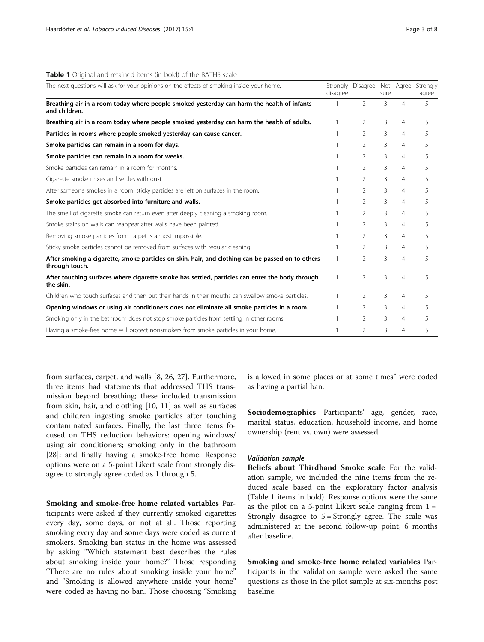## <span id="page-2-0"></span>Table 1 Original and retained items (in bold) of the BATHS scale

| The next questions will ask for your opinions on the effects of smoking inside your home.                           | Stronaly<br>disagree | Disagree       | sure |                | Not Agree Strongly<br>agree |
|---------------------------------------------------------------------------------------------------------------------|----------------------|----------------|------|----------------|-----------------------------|
| Breathing air in a room today where people smoked yesterday can harm the health of infants<br>and children.         | 1                    | $\mathfrak{D}$ | 3    | $\overline{4}$ | 5                           |
| Breathing air in a room today where people smoked yesterday can harm the health of adults.                          | 1                    | $\mathfrak{D}$ | 3    | 4              | 5                           |
| Particles in rooms where people smoked yesterday can cause cancer.                                                  |                      | $\overline{2}$ | 3    | 4              | 5                           |
| Smoke particles can remain in a room for days.                                                                      |                      | $\mathfrak{D}$ | 3    | 4              | 5                           |
| Smoke particles can remain in a room for weeks.                                                                     |                      | $\mathfrak{D}$ | 3    | 4              | 5                           |
| Smoke particles can remain in a room for months.                                                                    |                      | 2              | 3    | 4              | 5                           |
| Cigarette smoke mixes and settles with dust.                                                                        |                      | 2              | 3    | 4              | 5                           |
| After someone smokes in a room, sticky particles are left on surfaces in the room.                                  |                      | $\mathcal{P}$  | 3    | 4              | 5                           |
| Smoke particles get absorbed into furniture and walls.                                                              |                      | 2              | 3    | 4              | 5                           |
| The smell of cigarette smoke can return even after deeply cleaning a smoking room.                                  |                      | 2              | 3    | 4              | 5                           |
| Smoke stains on walls can reappear after walls have been painted.                                                   |                      | $\mathcal{P}$  | 3    | 4              | 5                           |
| Removing smoke particles from carpet is almost impossible.                                                          |                      | 2              | 3    | 4              | 5                           |
| Sticky smoke particles cannot be removed from surfaces with regular cleaning.                                       |                      | 2              | 3    | 4              | 5                           |
| After smoking a cigarette, smoke particles on skin, hair, and clothing can be passed on to others<br>through touch. | 1                    | 2              | 3    | 4              | 5                           |
| After touching surfaces where cigarette smoke has settled, particles can enter the body through<br>the skin.        |                      | 2              | 3    | 4              | 5                           |
| Children who touch surfaces and then put their hands in their mouths can swallow smoke particles.                   |                      | $\mathfrak{D}$ | 3    | 4              | 5                           |
| Opening windows or using air conditioners does not eliminate all smoke particles in a room.                         |                      | 2              | 3    | $\overline{4}$ | 5                           |
| Smoking only in the bathroom does not stop smoke particles from settling in other rooms.                            |                      | 2              | 3    | $\overline{4}$ | 5                           |
| Having a smoke-free home will protect nonsmokers from smoke particles in your home.                                 |                      | 2              | 3    | $\overline{4}$ | 5                           |

from surfaces, carpet, and walls [[8, 26, 27\]](#page-7-0). Furthermore, three items had statements that addressed THS transmission beyond breathing; these included transmission from skin, hair, and clothing [\[10, 11](#page-7-0)] as well as surfaces and children ingesting smoke particles after touching contaminated surfaces. Finally, the last three items focused on THS reduction behaviors: opening windows/ using air conditioners; smoking only in the bathroom [[28\]](#page-7-0); and finally having a smoke-free home. Response options were on a 5-point Likert scale from strongly disagree to strongly agree coded as 1 through 5.

Smoking and smoke-free home related variables Participants were asked if they currently smoked cigarettes every day, some days, or not at all. Those reporting smoking every day and some days were coded as current smokers. Smoking ban status in the home was assessed by asking "Which statement best describes the rules about smoking inside your home?" Those responding "There are no rules about smoking inside your home" and "Smoking is allowed anywhere inside your home" were coded as having no ban. Those choosing "Smoking

is allowed in some places or at some times" were coded as having a partial ban.

Sociodemographics Participants' age, gender, race, marital status, education, household income, and home ownership (rent vs. own) were assessed.

# Validation sample

Beliefs about Thirdhand Smoke scale For the validation sample, we included the nine items from the reduced scale based on the exploratory factor analysis (Table 1 items in bold). Response options were the same as the pilot on a 5-point Likert scale ranging from  $1 =$ Strongly disagree to  $5 =$  Strongly agree. The scale was administered at the second follow-up point, 6 months after baseline.

Smoking and smoke-free home related variables Participants in the validation sample were asked the same questions as those in the pilot sample at six-months post baseline.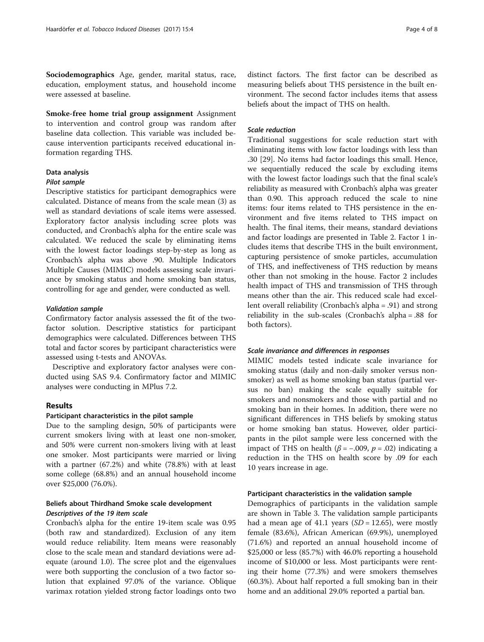Sociodemographics Age, gender, marital status, race, education, employment status, and household income were assessed at baseline.

Smoke-free home trial group assignment Assignment to intervention and control group was random after baseline data collection. This variable was included because intervention participants received educational information regarding THS.

## Data analysis

# Pilot sample

Descriptive statistics for participant demographics were calculated. Distance of means from the scale mean (3) as well as standard deviations of scale items were assessed. Exploratory factor analysis including scree plots was conducted, and Cronbach's alpha for the entire scale was calculated. We reduced the scale by eliminating items with the lowest factor loadings step-by-step as long as Cronbach's alpha was above .90. Multiple Indicators Multiple Causes (MIMIC) models assessing scale invariance by smoking status and home smoking ban status, controlling for age and gender, were conducted as well.

## Validation sample

Confirmatory factor analysis assessed the fit of the twofactor solution. Descriptive statistics for participant demographics were calculated. Differences between THS total and factor scores by participant characteristics were assessed using t-tests and ANOVAs.

Descriptive and exploratory factor analyses were conducted using SAS 9.4. Confirmatory factor and MIMIC analyses were conducting in MPlus 7.2.

## Results

# Participant characteristics in the pilot sample

Due to the sampling design, 50% of participants were current smokers living with at least one non-smoker, and 50% were current non-smokers living with at least one smoker. Most participants were married or living with a partner (67.2%) and white (78.8%) with at least some college (68.8%) and an annual household income over \$25,000 (76.0%).

# Beliefs about Thirdhand Smoke scale development Descriptives of the 19 item scale

Cronbach's alpha for the entire 19-item scale was 0.95 (both raw and standardized). Exclusion of any item would reduce reliability. Item means were reasonably close to the scale mean and standard deviations were adequate (around 1.0). The scree plot and the eigenvalues were both supporting the conclusion of a two factor solution that explained 97.0% of the variance. Oblique varimax rotation yielded strong factor loadings onto two beliefs about the impact of THS on health.

## Scale reduction

Traditional suggestions for scale reduction start with eliminating items with low factor loadings with less than .30 [\[29](#page-7-0)]. No items had factor loadings this small. Hence, we sequentially reduced the scale by excluding items with the lowest factor loadings such that the final scale's reliability as measured with Cronbach's alpha was greater than 0.90. This approach reduced the scale to nine items: four items related to THS persistence in the environment and five items related to THS impact on health. The final items, their means, standard deviations and factor loadings are presented in Table [2](#page-4-0). Factor 1 includes items that describe THS in the built environment, capturing persistence of smoke particles, accumulation of THS, and ineffectiveness of THS reduction by means other than not smoking in the house. Factor 2 includes health impact of THS and transmission of THS through means other than the air. This reduced scale had excellent overall reliability (Cronbach's alpha = .91) and strong reliability in the sub-scales (Cronbach's alpha = .88 for both factors).

# Scale invariance and differences in responses

MIMIC models tested indicate scale invariance for smoking status (daily and non-daily smoker versus nonsmoker) as well as home smoking ban status (partial versus no ban) making the scale equally suitable for smokers and nonsmokers and those with partial and no smoking ban in their homes. In addition, there were no significant differences in THS beliefs by smoking status or home smoking ban status. However, older participants in the pilot sample were less concerned with the impact of THS on health (β = −.009, p = .02) indicating a reduction in the THS on health score by .09 for each 10 years increase in age.

## Participant characteristics in the validation sample

Demographics of participants in the validation sample are shown in Table [3](#page-5-0). The validation sample participants had a mean age of 41.1 years  $(SD = 12.65)$ , were mostly female (83.6%), African American (69.9%), unemployed (71.6%) and reported an annual household income of \$25,000 or less (85.7%) with 46.0% reporting a household income of \$10,000 or less. Most participants were renting their home (77.3%) and were smokers themselves (60.3%). About half reported a full smoking ban in their home and an additional 29.0% reported a partial ban.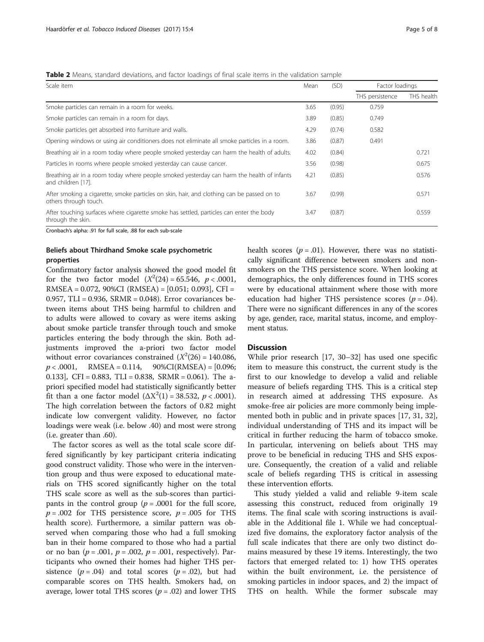<span id="page-4-0"></span>Table 2 Means, standard deviations, and factor loadings of final scale items in the validation sample

| Scale item                                                                                                          | Mean | (SD)   | Factor loadings |            |  |
|---------------------------------------------------------------------------------------------------------------------|------|--------|-----------------|------------|--|
|                                                                                                                     |      |        | THS persistence | THS health |  |
| Smoke particles can remain in a room for weeks.                                                                     | 3.65 | (0.95) | 0.759           |            |  |
| Smoke particles can remain in a room for days.                                                                      | 3.89 | (0.85) | 0.749           |            |  |
| Smoke particles get absorbed into furniture and walls.                                                              | 4.29 | (0.74) | 0.582           |            |  |
| Opening windows or using air conditioners does not eliminate all smoke particles in a room.                         | 3.86 | (0.87) | 0.491           |            |  |
| Breathing air in a room today where people smoked yesterday can harm the health of adults.                          | 4.02 | (0.84) |                 | 0.721      |  |
| Particles in rooms where people smoked yesterday can cause cancer.                                                  | 3.56 | (0.98) |                 | 0.675      |  |
| Breathing air in a room today where people smoked yesterday can harm the health of infants<br>and children [17].    | 4.21 | (0.85) |                 | 0.576      |  |
| After smoking a cigarette, smoke particles on skin, hair, and clothing can be passed on to<br>others through touch. | 3.67 | (0.99) |                 | 0.571      |  |
| After touching surfaces where cigarette smoke has settled, particles can enter the body<br>through the skin.        | 3.47 | (0.87) |                 | 0.559      |  |

Cronbach's alpha: .91 for full scale, .88 for each sub-scale

# Beliefs about Thirdhand Smoke scale psychometric properties

Confirmatory factor analysis showed the good model fit for the two factor model  $(X^2(24) = 65.546, p < .0001,$ RMSEA = 0.072, 90%CI (RMSEA) = [0.051; 0.093], CFI = 0.957, TLI = 0.936, SRMR = 0.048). Error covariances between items about THS being harmful to children and to adults were allowed to covary as were items asking about smoke particle transfer through touch and smoke particles entering the body through the skin. Both adjustments improved the a-priori two factor model without error covariances constrained  $(X^2(26) = 140.086,$  $p < .0001$ , RMSEA = 0.114, 90%CI(RMSEA) = [0.096; 0.133], CFI = 0.883, TLI = 0.838, SRMR = 0.061). The apriori specified model had statistically significantly better fit than a one factor model  $(\Delta X^2(1) = 38.532, p < .0001)$ . The high correlation between the factors of 0.82 might indicate low convergent validity. However, no factor loadings were weak (i.e. below .40) and most were strong (i.e. greater than .60).

The factor scores as well as the total scale score differed significantly by key participant criteria indicating good construct validity. Those who were in the intervention group and thus were exposed to educational materials on THS scored significantly higher on the total THS scale score as well as the sub-scores than participants in the control group  $(p = .0001)$  for the full score,  $p = .002$  for THS persistence score,  $p = .005$  for THS health score). Furthermore, a similar pattern was observed when comparing those who had a full smoking ban in their home compared to those who had a partial or no ban ( $p = .001$ ,  $p = .002$ ,  $p = .001$ , respectively). Participants who owned their homes had higher THS persistence  $(p=.04)$  and total scores  $(p=.02)$ , but had comparable scores on THS health. Smokers had, on average, lower total THS scores  $(p=.02)$  and lower THS health scores ( $p = .01$ ). However, there was no statistically significant difference between smokers and nonsmokers on the THS persistence score. When looking at demographics, the only differences found in THS scores were by educational attainment where those with more education had higher THS persistence scores  $(p=.04)$ . There were no significant differences in any of the scores by age, gender, race, marital status, income, and employment status.

# **Discussion**

While prior research [\[17](#page-7-0), [30](#page-7-0)–[32](#page-7-0)] has used one specific item to measure this construct, the current study is the first to our knowledge to develop a valid and reliable measure of beliefs regarding THS. This is a critical step in research aimed at addressing THS exposure. As smoke-free air policies are more commonly being implemented both in public and in private spaces [\[17, 31](#page-7-0), [32](#page-7-0)], individual understanding of THS and its impact will be critical in further reducing the harm of tobacco smoke. In particular, intervening on beliefs about THS may prove to be beneficial in reducing THS and SHS exposure. Consequently, the creation of a valid and reliable scale of beliefs regarding THS is critical in assessing these intervention efforts.

This study yielded a valid and reliable 9-item scale assessing this construct, reduced from originally 19 items. The final scale with scoring instructions is available in the Additional file [1.](#page-6-0) While we had conceptualized five domains, the exploratory factor analysis of the full scale indicates that there are only two distinct domains measured by these 19 items. Interestingly, the two factors that emerged related to: 1) how THS operates within the built environment, i.e. the persistence of smoking particles in indoor spaces, and 2) the impact of THS on health. While the former subscale may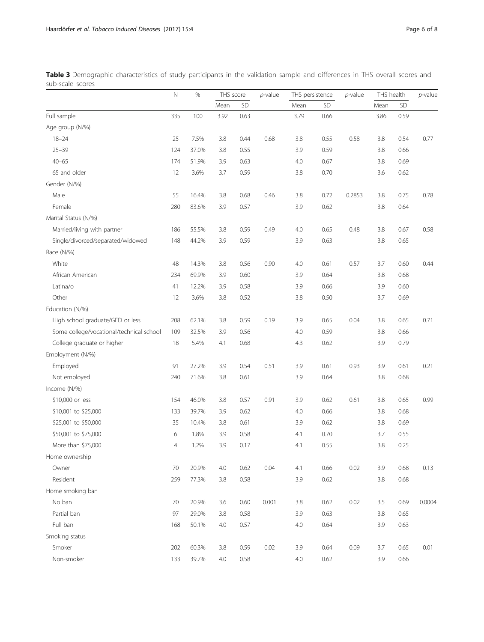|                                          | $\mathsf{N}$<br>$\%$ |       | THS score |      | $p$ -value | THS persistence |      | p-value | THS health |      | $p$ -value |
|------------------------------------------|----------------------|-------|-----------|------|------------|-----------------|------|---------|------------|------|------------|
|                                          |                      | Mean  | SD        |      | Mean       | SD              |      | Mean    | SD         |      |            |
| Full sample                              | 335                  | 100   | 3.92      | 0.63 |            | 3.79            | 0.66 |         | 3.86       | 0.59 |            |
| Age group (N/%)                          |                      |       |           |      |            |                 |      |         |            |      |            |
| $18 - 24$                                | 25                   | 7.5%  | 3.8       | 0.44 | 0.68       | 3.8             | 0.55 | 0.58    | 3.8        | 0.54 | 0.77       |
| $25 - 39$                                | 124                  | 37.0% | 3.8       | 0.55 |            | 3.9             | 0.59 |         | 3.8        | 0.66 |            |
| $40 - 65$                                | 174                  | 51.9% | 3.9       | 0.63 |            | 4.0             | 0.67 |         | 3.8        | 0.69 |            |
| 65 and older                             | 12                   | 3.6%  | 3.7       | 0.59 |            | 3.8             | 0.70 |         | 3.6        | 0.62 |            |
| Gender (N/%)                             |                      |       |           |      |            |                 |      |         |            |      |            |
| Male                                     | 55                   | 16.4% | 3.8       | 0.68 | 0.46       | 3.8             | 0.72 | 0.2853  | 3.8        | 0.75 | 0.78       |
| Female                                   | 280                  | 83.6% | 3.9       | 0.57 |            | 3.9             | 0.62 |         | 3.8        | 0.64 |            |
| Marital Status (N/%)                     |                      |       |           |      |            |                 |      |         |            |      |            |
| Married/living with partner              | 186                  | 55.5% | 3.8       | 0.59 | 0.49       | 4.0             | 0.65 | 0.48    | 3.8        | 0.67 | 0.58       |
| Single/divorced/separated/widowed        | 148                  | 44.2% | 3.9       | 0.59 |            | 3.9             | 0.63 |         | 3.8        | 0.65 |            |
| Race (N/%)                               |                      |       |           |      |            |                 |      |         |            |      |            |
| White                                    | 48                   | 14.3% | 3.8       | 0.56 | 0.90       | 4.0             | 0.61 | 0.57    | 3.7        | 0.60 | 0.44       |
| African American                         | 234                  | 69.9% | 3.9       | 0.60 |            | 3.9             | 0.64 |         | 3.8        | 0.68 |            |
| Latina/o                                 | 41                   | 12.2% | 3.9       | 0.58 |            | 3.9             | 0.66 |         | 3.9        | 0.60 |            |
| Other                                    | 12                   | 3.6%  | 3.8       | 0.52 |            | 3.8             | 0.50 |         | 3.7        | 0.69 |            |
| Education (N/%)                          |                      |       |           |      |            |                 |      |         |            |      |            |
| High school graduate/GED or less         | 208                  | 62.1% | 3.8       | 0.59 | 0.19       | 3.9             | 0.65 | 0.04    | 3.8        | 0.65 | 0.71       |
| Some college/vocational/technical school | 109                  | 32.5% | 3.9       | 0.56 |            | 4.0             | 0.59 |         | 3.8        | 0.66 |            |
| College graduate or higher               | 18                   | 5.4%  | 4.1       | 0.68 |            | 4.3             | 0.62 |         | 3.9        | 0.79 |            |
| Employment (N/%)                         |                      |       |           |      |            |                 |      |         |            |      |            |
| Employed                                 | 91                   | 27.2% | 3.9       | 0.54 | 0.51       | 3.9             | 0.61 | 0.93    | 3.9        | 0.61 | 0.21       |
| Not employed                             | 240                  | 71.6% | 3.8       | 0.61 |            | 3.9             | 0.64 |         | 3.8        | 0.68 |            |
| Income (N/%)                             |                      |       |           |      |            |                 |      |         |            |      |            |
| \$10,000 or less                         | 154                  | 46.0% | 3.8       | 0.57 | 0.91       | 3.9             | 0.62 | 0.61    | 3.8        | 0.65 | 0.99       |
| \$10,001 to \$25,000                     | 133                  | 39.7% | 3.9       | 0.62 |            | 4.0             | 0.66 |         | 3.8        | 0.68 |            |
| \$25,001 to \$50,000                     | 35                   | 10.4% | 3.8       | 0.61 |            | 3.9             | 0.62 |         | 3.8        | 0.69 |            |
| \$50,001 to \$75,000                     | 6                    | 1.8%  | 3.9       | 0.58 |            | 4.1             | 0.70 |         | 3.7        | 0.55 |            |
| More than \$75,000                       | 4                    | 1.2%  | 3.9       | 0.17 |            | 4.1             | 0.55 |         | 3.8        | 0.25 |            |
| Home ownership                           |                      |       |           |      |            |                 |      |         |            |      |            |
| Owner                                    | 70                   | 20.9% | 4.0       | 0.62 | 0.04       | 4.1             | 0.66 | 0.02    | 3.9        | 0.68 | 0.13       |
| Resident                                 | 259                  | 77.3% | 3.8       | 0.58 |            | 3.9             | 0.62 |         | 3.8        | 0.68 |            |
| Home smoking ban                         |                      |       |           |      |            |                 |      |         |            |      |            |
| No ban                                   | 70                   | 20.9% | 3.6       | 0.60 | 0.001      | 3.8             | 0.62 | 0.02    | 3.5        | 0.69 | 0.0004     |
| Partial ban                              | 97                   | 29.0% | 3.8       | 0.58 |            | 3.9             | 0.63 |         | 3.8        | 0.65 |            |
| Full ban                                 | 168                  | 50.1% | 4.0       | 0.57 |            | 4.0             | 0.64 |         | 3.9        | 0.63 |            |
| Smoking status                           |                      |       |           |      |            |                 |      |         |            |      |            |
| Smoker                                   | 202                  | 60.3% | 3.8       | 0.59 | 0.02       | 3.9             | 0.64 | 0.09    | 3.7        | 0.65 | 0.01       |
| Non-smoker                               | 133                  | 39.7% | 4.0       | 0.58 |            | 4.0             | 0.62 |         | 3.9        | 0.66 |            |

<span id="page-5-0"></span>Table 3 Demographic characteristics of study participants in the validation sample and differences in THS overall scores and sub-scale scores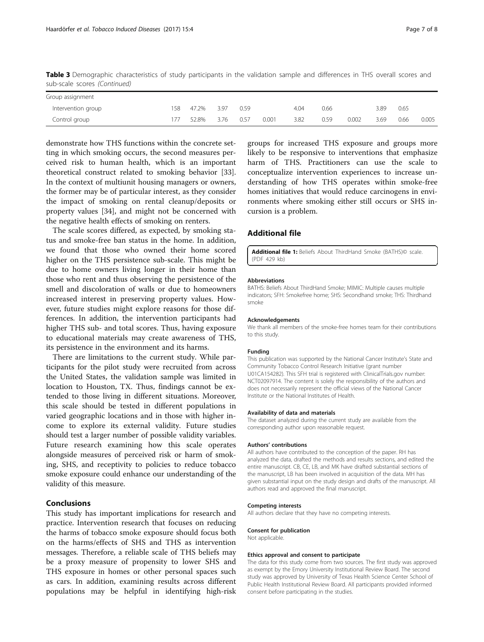| Group assignment   |     |       |      |      |       |      |      |       |      |      |       |
|--------------------|-----|-------|------|------|-------|------|------|-------|------|------|-------|
| Intervention group | '58 | 47.2% | 3.97 | 0.59 |       | 4.04 | 0.66 |       | 3.89 | 0.65 |       |
| Control group      |     | 52.8% | 3.76 | 0.57 | 0.001 | 3.82 | 0.59 | 0.002 | 3.69 | 0.66 | 0.005 |

<span id="page-6-0"></span>Table 3 Demographic characteristics of study participants in the validation sample and differences in THS overall scores and sub-scale scores (Continued)

demonstrate how THS functions within the concrete setting in which smoking occurs, the second measures perceived risk to human health, which is an important theoretical construct related to smoking behavior [\[33](#page-7-0)]. In the context of multiunit housing managers or owners, the former may be of particular interest, as they consider the impact of smoking on rental cleanup/deposits or property values [[34\]](#page-7-0), and might not be concerned with the negative health effects of smoking on renters.

The scale scores differed, as expected, by smoking status and smoke-free ban status in the home. In addition, we found that those who owned their home scored higher on the THS persistence sub-scale. This might be due to home owners living longer in their home than those who rent and thus observing the persistence of the smell and discoloration of walls or due to homeowners increased interest in preserving property values. However, future studies might explore reasons for those differences. In addition, the intervention participants had higher THS sub- and total scores. Thus, having exposure to educational materials may create awareness of THS, its persistence in the environment and its harms.

There are limitations to the current study. While participants for the pilot study were recruited from across the United States, the validation sample was limited in location to Houston, TX. Thus, findings cannot be extended to those living in different situations. Moreover, this scale should be tested in different populations in varied geographic locations and in those with higher income to explore its external validity. Future studies should test a larger number of possible validity variables. Future research examining how this scale operates alongside measures of perceived risk or harm of smoking, SHS, and receptivity to policies to reduce tobacco smoke exposure could enhance our understanding of the validity of this measure.

# Conclusions

This study has important implications for research and practice. Intervention research that focuses on reducing the harms of tobacco smoke exposure should focus both on the harms/effects of SHS and THS as intervention messages. Therefore, a reliable scale of THS beliefs may be a proxy measure of propensity to lower SHS and THS exposure in homes or other personal spaces such as cars. In addition, examining results across different populations may be helpful in identifying high-risk

groups for increased THS exposure and groups more likely to be responsive to interventions that emphasize harm of THS. Practitioners can use the scale to conceptualize intervention experiences to increase understanding of how THS operates within smoke-free homes initiatives that would reduce carcinogens in environments where smoking either still occurs or SHS incursion is a problem.

## Additional file

[Additional file 1:](dx.doi.org/10.1186/s12971-017-0112-4) Beliefs About ThirdHand Smoke (BATHS)© scale. (PDF 429 kb)

#### Abbreviations

BATHS: Beliefs About ThirdHand Smoke; MIMIC: Multiple causes multiple indicators; SFH: Smokefree home; SHS: Secondhand smoke; THS: Thirdhand smoke

#### Acknowledgements

We thank all members of the smoke-free homes team for their contributions to this study.

#### Funding

This publication was supported by the National Cancer Institute's State and Community Tobacco Control Research Initiative (grant number U01CA154282). This SFH trial is registered with ClinicalTrials.gov number: NCT02097914. The content is solely the responsibility of the authors and does not necessarily represent the official views of the National Cancer Institute or the National Institutes of Health.

#### Availability of data and materials

The dataset analyzed during the current study are available from the corresponding author upon reasonable request.

### Authors' contributions

All authors have contributed to the conception of the paper. RH has analyzed the data, drafted the methods and results sections, and edited the entire manuscript. CB, CE, LB, and MK have drafted substantial sections of the manuscript, LB has been involved in acquisition of the data. MH has given substantial input on the study design and drafts of the manuscript. All authors read and approved the final manuscript.

#### Competing interests

All authors declare that they have no competing interests.

#### Consent for publication

Not applicable.

#### Ethics approval and consent to participate

The data for this study come from two sources. The first study was approved as exempt by the Emory University Institutional Review Board. The second study was approved by University of Texas Health Science Center School of Public Health Institutional Review Board. All participants provided informed consent before participating in the studies.